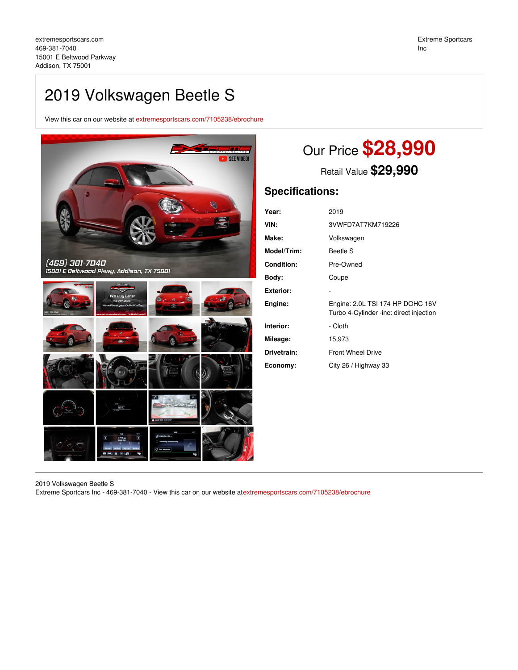## 2019 Volkswagen Beetle S

View this car on our website at [extremesportscars.com/7105238/ebrochure](https://extremesportscars.com/vehicle/7105238/2019-volkswagen-beetle-s-addison-tx-75001/7105238/ebrochure)



# Our Price **\$28,990**

Retail Value **\$29,990**

## **Specifications:**

| Year:              | 2019                                                                        |
|--------------------|-----------------------------------------------------------------------------|
| VIN:               | 3VWFD7AT7KM719226                                                           |
| Make:              | Volkswagen                                                                  |
| <b>Model/Trim:</b> | Beetle S                                                                    |
| Condition:         | Pre-Owned                                                                   |
| Body:              | Coupe                                                                       |
| Exterior:          |                                                                             |
| Engine:            | Engine: 2.0L TSI 174 HP DOHC 16V<br>Turbo 4-Cylinder -inc: direct injection |
| Interior:          | - Cloth                                                                     |
| Mileage:           | 15,973                                                                      |
| Drivetrain:        | <b>Front Wheel Drive</b>                                                    |
| Economy:           | City 26 / Highway 33                                                        |

2019 Volkswagen Beetle S

Extreme Sportcars Inc - 469-381-7040 - View this car on our website at[extremesportscars.com/7105238/ebrochure](https://extremesportscars.com/vehicle/7105238/2019-volkswagen-beetle-s-addison-tx-75001/7105238/ebrochure)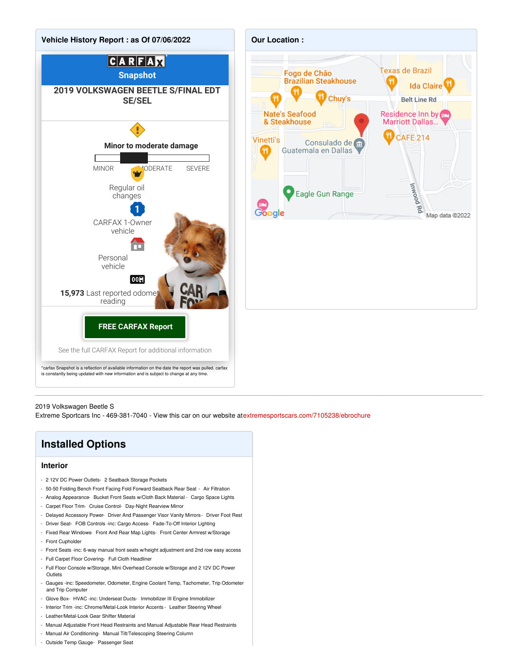



#### 2019 Volkswagen Beetle S

Extreme Sportcars Inc - 469-381-7040 - View this car on our website at[extremesportscars.com/7105238/ebrochure](https://extremesportscars.com/vehicle/7105238/2019-volkswagen-beetle-s-addison-tx-75001/7105238/ebrochure)

## **Installed Options**

## **Interior**

- 2 12V DC Power Outlets- 2 Seatback Storage Pockets
- 50-50 Folding Bench Front Facing Fold Forward Seatback Rear Seat Air Filtration
- Analog Appearance- Bucket Front Seats w/Cloth Back Material Cargo Space Lights
- Carpet Floor Trim- Cruise Control- Day-Night Rearview Mirror
- Delayed Accessory Power- Driver And Passenger Visor Vanity Mirrors Driver Foot Rest
- Driver Seat- FOB Controls -inc: Cargo Access- Fade-To-Off Interior Lighting
- Fixed Rear Windows- Front And Rear Map Lights- Front Center Armrest w/Storage
- Front Cupholder
- Front Seats -inc: 6-way manual front seats w/height adjustment and 2nd row easy access
- Full Carpet Floor Covering- Full Cloth Headliner
- Full Floor Console w/Storage, Mini Overhead Console w/Storage and 2 12V DC Power **Outlets**
- Gauges -inc: Speedometer, Odometer, Engine Coolant Temp, Tachometer, Trip Odometer and Trip Computer
- Glove Box- HVAC -inc: Underseat Ducts- Immobilizer III Engine Immobilizer
- Interior Trim -inc: Chrome/Metal-Look Interior Accents Leather Steering Wheel
- Leather/Metal-Look Gear Shifter Material
- Manual Adjustable Front Head Restraints and Manual Adjustable Rear Head Restraints
- Manual Air Conditioning- Manual Tilt/Telescoping Steering Column
- Outside Temp Gauge- Passenger Seat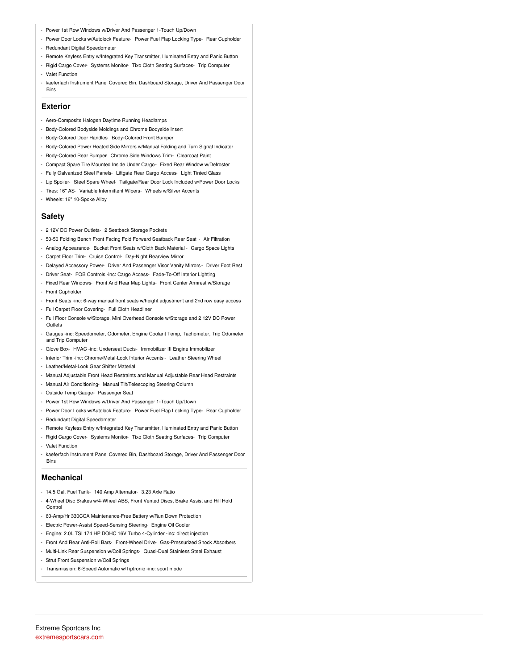- Power 1st Row Windows w/Driver And Passenger 1-Touch Up/Down
- Power Door Locks w/Autolock Feature- Power Fuel Flap Locking Type- Rear Cupholder - Redundant Digital Speedometer
- Remote Keyless Entry w/Integrated Key Transmitter, Illuminated Entry and Panic Button
- Rigid Cargo Cover- Systems Monitor- Tixo Cloth Seating Surfaces- Trip Computer
- Valet Function
- kaeferfach Instrument Panel Covered Bin, Dashboard Storage, Driver And Passenger Door Bins

## **Exterior**

- Aero-Composite Halogen Daytime Running Headlamps
- Body-Colored Bodyside Moldings and Chrome Bodyside Insert
- Body-Colored Door Handles- Body-Colored Front Bumper
- Body-Colored Power Heated Side Mirrors w/Manual Folding and Turn Signal Indicator
- Body-Colored Rear Bumper- Chrome Side Windows Trim- Clearcoat Paint
- Compact Spare Tire Mounted Inside Under Cargo- Fixed Rear Window w/Defroster
- Fully Galvanized Steel Panels- Liftgate Rear Cargo Access- Light Tinted Glass
- Lip Spoiler- Steel Spare Wheel- Tailgate/Rear Door Lock Included w/Power Door Locks
- Tires: 16" AS- Variable Intermittent Wipers- Wheels w/Silver Accents
- Wheels: 16" 10-Spoke Alloy

## **Safety**

- 2 12V DC Power Outlets- 2 Seatback Storage Pockets
- 50-50 Folding Bench Front Facing Fold Forward Seatback Rear Seat Air Filtration
- Analog Appearance- Bucket Front Seats w/Cloth Back Material Cargo Space Lights
- Carpet Floor Trim- Cruise Control- Day-Night Rearview Mirror
- Delayed Accessory Power- Driver And Passenger Visor Vanity Mirrors Driver Foot Rest
- Driver Seat- FOB Controls -inc: Cargo Access- Fade-To-Off Interior Lighting
- Fixed Rear Windows- Front And Rear Map Lights- Front Center Armrest w/Storage
- Front Cupholder
- Front Seats -inc: 6-way manual front seats w/height adjustment and 2nd row easy access
- Full Carpet Floor Covering- Full Cloth Headliner
- Full Floor Console w/Storage, Mini Overhead Console w/Storage and 2 12V DC Power **Outlets**
- Gauges -inc: Speedometer, Odometer, Engine Coolant Temp, Tachometer, Trip Odometer and Trip Computer
- Glove Box- HVAC -inc: Underseat Ducts- Immobilizer III Engine Immobilizer
- Interior Trim -inc: Chrome/Metal-Look Interior Accents Leather Steering Wheel
- Leather/Metal-Look Gear Shifter Material
- Manual Adjustable Front Head Restraints and Manual Adjustable Rear Head Restraints
- Manual Air Conditioning- Manual Tilt/Telescoping Steering Column
- Outside Temp Gauge- Passenger Seat
- Power 1st Row Windows w/Driver And Passenger 1-Touch Up/Down
- Power Door Locks w/Autolock Feature- Power Fuel Flap Locking Type- Rear Cupholder
- Redundant Digital Speedometer
- Remote Keyless Entry w/Integrated Key Transmitter, Illuminated Entry and Panic Button
- Rigid Cargo Cover- Systems Monitor- Tixo Cloth Seating Surfaces- Trip Computer
- Valet Function
- kaeferfach Instrument Panel Covered Bin, Dashboard Storage, Driver And Passenger Door Bins

## **Mechanical**

- 14.5 Gal. Fuel Tank- 140 Amp Alternator- 3.23 Axle Ratio
- 4-Wheel Disc Brakes w/4-Wheel ABS, Front Vented Discs, Brake Assist and Hill Hold Control
- 60-Amp/Hr 330CCA Maintenance-Free Battery w/Run Down Protection
- Electric Power-Assist Speed-Sensing Steering- Engine Oil Cooler
- Engine: 2.0L TSI 174 HP DOHC 16V Turbo 4-Cylinder -inc: direct injection
- Front And Rear Anti-Roll Bars- Front-Wheel Drive- Gas-Pressurized Shock Absorbers
- Multi-Link Rear Suspension w/Coil Springs- Quasi-Dual Stainless Steel Exhaust
- Strut Front Suspension w/Coil Springs
- Transmission: 6-Speed Automatic w/Tiptronic -inc: sport mode